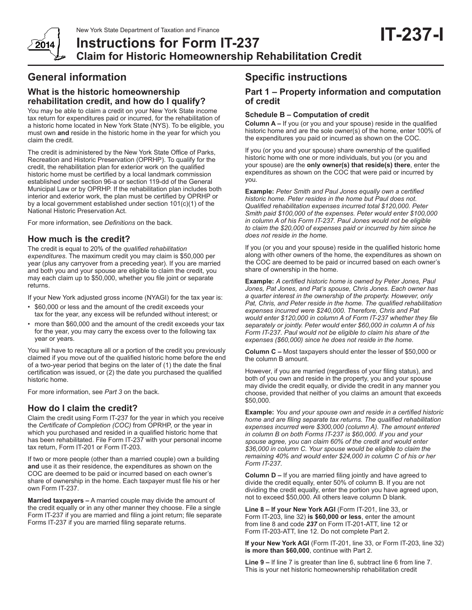

**Instructions for Form IT-237 Claim for Historic Homeownership Rehabilitation Credit**

# **General information**

## **What is the historic homeownership rehabilitation credit, and how do I qualify?**

You may be able to claim a credit on your New York State income tax return for expenditures paid or incurred, for the rehabilitation of a historic home located in New York State (NYS). To be eligible, you must own **and** reside in the historic home in the year for which you claim the credit.

The credit is administered by the New York State Office of Parks, Recreation and Historic Preservation (OPRHP). To qualify for the credit, the rehabilitation plan for exterior work on the qualified historic home must be certified by a local landmark commission established under section 96-a or section 119-dd of the General Municipal Law or by OPRHP. If the rehabilitation plan includes both interior and exterior work, the plan must be certified by OPRHP or by a local government established under section 101(c)(1) of the National Historic Preservation Act.

For more information, see *Definitions* on the back.

## **How much is the credit?**

The credit is equal to 20% of the *qualified rehabilitation expenditures*. The maximum credit you may claim is \$50,000 per year (plus any carryover from a preceding year). If you are married and both you and your spouse are eligible to claim the credit, you may each claim up to \$50,000, whether you file joint or separate returns.

If your New York adjusted gross income (NYAGI) for the tax year is:

- \$60,000 or less and the amount of the credit exceeds your tax for the year, any excess will be refunded without interest; or
- more than \$60,000 and the amount of the credit exceeds your tax for the year, you may carry the excess over to the following tax year or years.

You will have to recapture all or a portion of the credit you previously claimed if you move out of the qualified historic home before the end of a two-year period that begins on the later of (1) the date the final certification was issued, or (2) the date you purchased the qualified historic home.

For more information, see *Part 3* on the back.

## **How do I claim the credit?**

Claim the credit using Form IT-237 for the year in which you receive the *Certificate of Completion (COC)* from OPRHP, or the year in which you purchased and resided in a qualified historic home that has been rehabilitated. File Form IT-237 with your personal income tax return, Form IT-201 or Form IT-203.

If two or more people (other than a married couple) own a building **and** use it as their residence, the expenditures as shown on the COC are deemed to be paid or incurred based on each owner's share of ownership in the home. Each taxpayer must file his or her own Form IT-237.

**Married taxpayers –** A married couple may divide the amount of the credit equally or in any other manner they choose. File a single Form IT-237 if you are married and filing a joint return; file separate Forms IT-237 if you are married filing separate returns.

## **Specific instructions**

## **Part 1 – Property information and computation of credit**

### **Schedule B – Computation of credit**

**Column A –** If you (or you and your spouse) reside in the qualified historic home and are the sole owner(s) of the home, enter 100% of the expenditures you paid or incurred as shown on the COC.

If you (or you and your spouse) share ownership of the qualified historic home with one or more individuals, but you (or you and your spouse) are the **only owner(s) that reside(s) there**, enter the expenditures as shown on the COC that were paid or incurred by you.

**Example:** *Peter Smith and Paul Jones equally own a certified historic home. Peter resides in the home but Paul does not. Qualified rehabilitation expenses incurred total \$120,000. Peter Smith paid \$100,000 of the expenses. Peter would enter \$100,000 in column A of his Form IT-237. Paul Jones would not be eligible to claim the \$20,000 of expenses paid or incurred by him since he does not reside in the home.*

If you (or you and your spouse) reside in the qualified historic home along with other owners of the home, the expenditures as shown on the COC are deemed to be paid or incurred based on each owner's share of ownership in the home.

**Example:** *A certified historic home is owned by Peter Jones, Paul Jones, Pat Jones, and Pat's spouse, Chris Jones. Each owner has a quarter interest in the ownership of the property. However, only Pat, Chris, and Peter reside in the home. The qualified rehabilitation expenses incurred were \$240,000. Therefore, Chris and Pat would enter \$120,000 in column A of Form IT-237 whether they file separately or jointly. Peter would enter \$60,000 in column A of his Form IT-237. Paul would not be eligible to claim his share of the expenses (\$60,000) since he does not reside in the home.*

**Column C –** Most taxpayers should enter the lesser of \$50,000 or the column B amount.

However, if you are married (regardless of your filing status), and both of you own and reside in the property, you and your spouse may divide the credit equally, or divide the credit in any manner you choose, provided that neither of you claims an amount that exceeds \$50,000.

**Example:** *You and your spouse own and reside in a certified historic home and are filing separate tax returns. The qualified rehabilitation expenses incurred were \$300,000 (column A). The amount entered in column B on both Forms IT-237 is \$60,000. If you and your spouse agree, you can claim 60% of the credit and would enter \$36,000 in column C. Your spouse would be eligible to claim the remaining 40% and would enter \$24,000 in column C of his or her Form IT-237.*

**Column D –** If you are married filing jointly and have agreed to divide the credit equally, enter 50% of column B. If you are not dividing the credit equally, enter the portion you have agreed upon, not to exceed \$50,000. All others leave column D blank.

**Line 8 – If your New York AGI** (Form IT-201, line 33, or Form IT-203, line 32) **is \$60,000 or less**, enter the amount from line 8 and code *237* on Form IT-201-ATT, line 12 or Form IT-203-ATT, line 12. Do not complete Part 2.

**If your New York AGI** (Form IT-201, line 33, or Form IT-203, line 32) **is more than \$60,000**, continue with Part 2.

**Line 9 –** If line 7 is greater than line 6, subtract line 6 from line 7. This is your net historic homeownership rehabilitation credit